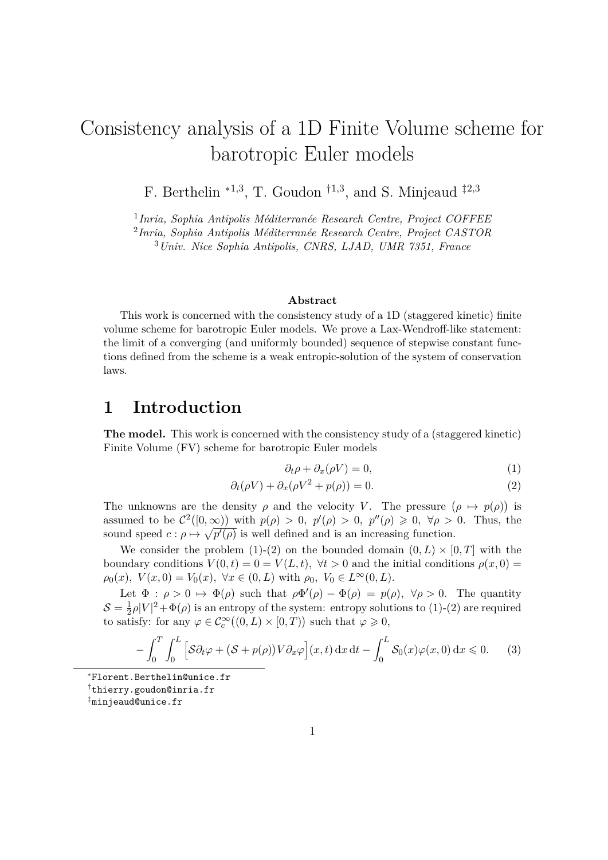# Consistency analysis of a 1D Finite Volume scheme for barotropic Euler models

F. Berthelin  $*^{1,3}$ , T. Goudon  $^{\dagger 1,3}$ , and S. Minjeaud  $^{\dagger 2,3}$ 

1 *Inria, Sophia Antipolis Méditerranée Research Centre, Project COFFEE*

2 *Inria, Sophia Antipolis Méditerranée Research Centre, Project CASTOR*

<sup>3</sup>*Univ. Nice Sophia Antipolis, CNRS, LJAD, UMR 7351, France*

#### **Abstract**

This work is concerned with the consistency study of a 1D (staggered kinetic) finite volume scheme for barotropic Euler models. We prove a Lax-Wendroff-like statement: the limit of a converging (and uniformly bounded) sequence of stepwise constant functions defined from the scheme is a weak entropic-solution of the system of conservation laws.

### **1 Introduction**

The model. This work is concerned with the consistency study of a (staggered kinetic) Finite Volume (FV) scheme for barotropic Euler models

$$
\partial_t \rho + \partial_x (\rho V) = 0,\tag{1}
$$

$$
\partial_t(\rho V) + \partial_x(\rho V^2 + p(\rho)) = 0.
$$
\n(2)

The unknowns are the density  $\rho$  and the velocity *V*. The pressure  $(\rho \mapsto p(\rho))$  is assumed to be  $\mathcal{C}^2([0,\infty))$  with  $p(\rho) > 0$ ,  $p'(\rho) > 0$ ,  $p''(\rho) \geq 0$ ,  $\forall \rho > 0$ . Thus, the sound speed  $c: \rho \mapsto \sqrt{p'(\rho)}$  is well defined and is an increasing function.

We consider the problem (1)-(2) on the bounded domain  $(0, L) \times [0, T]$  with the boundary conditions  $V(0,t) = 0 = V(L,t)$ ,  $\forall t > 0$  and the initial conditions  $\rho(x,0) =$  $\rho_0(x)$ ,  $V(x, 0) = V_0(x)$ ,  $\forall x \in (0, L)$  with  $\rho_0$ ,  $V_0 \in L^{\infty}(0, L)$ .

Let  $\Phi : \rho > 0 \mapsto \Phi(\rho)$  such that  $\rho \Phi'(\rho) - \Phi(\rho) = p(\rho), \forall \rho > 0$ . The quantity  $\mathcal{S}=\frac{1}{2}$  $\frac{1}{2}\rho|V|^2 + \Phi(\rho)$  is an entropy of the system: entropy solutions to (1)-(2) are required to satisfy: for any  $\varphi \in C_c^{\infty}((0, L) \times [0, T))$  such that  $\varphi \geq 0$ ,

$$
-\int_0^T \int_0^L \Big[ \mathcal{S} \partial_t \varphi + (\mathcal{S} + p(\rho)) V \partial_x \varphi \Big] (x, t) \, \mathrm{d}x \, \mathrm{d}t - \int_0^L \mathcal{S}_0(x) \varphi(x, 0) \, \mathrm{d}x \leqslant 0. \tag{3}
$$

<sup>∗</sup>Florent.Berthelin@unice.fr

†thierry.goudon@inria.fr

‡minjeaud@unice.fr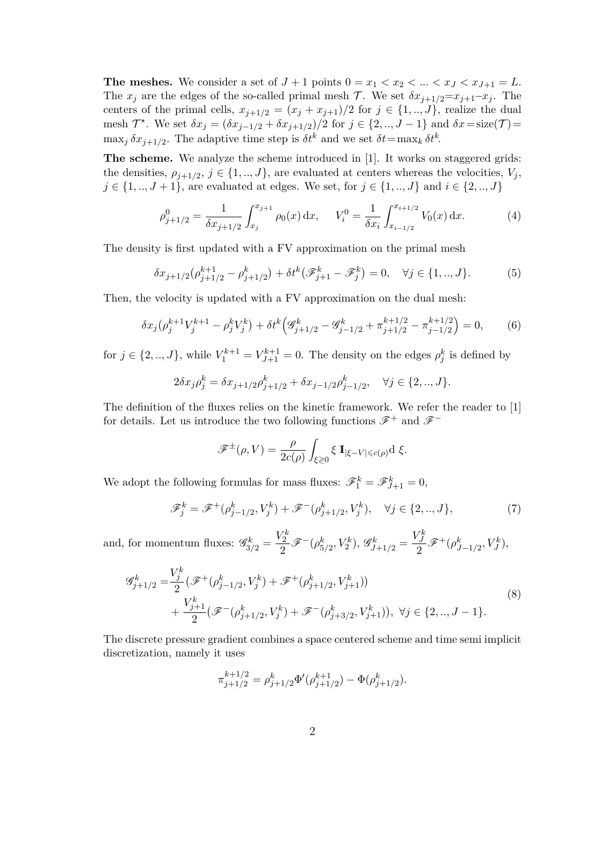**The meshes.** We consider a set of  $J+1$  points  $0 = x_1 < x_2 < ... < x_J < x_{J+1} = L$ . The  $x_j$  are the edges of the so-called primal mesh  $\mathcal{T}$ . We set  $\delta x_{j+1/2} = x_{j+1} - x_j$ . The centers of the primal cells,  $x_{j+1/2} = (x_j + x_{j+1})/2$  for  $j \in \{1, ..., J\}$ , realize the dual mesh  $\mathcal{T}^*$ . We set  $\delta x_j = (\delta x_{j-1/2} + \delta x_{j+1/2})/2$  for  $j \in \{2, ..., J-1\}$  and  $\delta x = \text{size}(\mathcal{T}) =$  $\max_j \delta x_{j+1/2}$ . The adaptive time step is  $\delta t^k$  and we set  $\delta t = \max_k \delta t^k$ .

**The scheme.** We analyze the scheme introduced in [1]. It works on staggered grids: the densities,  $\rho_{j+1/2}, j \in \{1, ..., J\}$ , are evaluated at centers whereas the velocities,  $V_j$ , *j* ∈ {1, .., *J* + 1}, are evaluated at edges. We set, for *j* ∈ {1, .., *J*} and *i* ∈ {2, .., *J*}

$$
\rho_{j+1/2}^0 = \frac{1}{\delta x_{j+1/2}} \int_{x_j}^{x_{j+1}} \rho_0(x) dx, \quad V_i^0 = \frac{1}{\delta x_i} \int_{x_{i-1/2}}^{x_{i+1/2}} V_0(x) dx.
$$
 (4)

The density is first updated with a FV approximation on the primal mesh

$$
\delta x_{j+1/2}(\rho_{j+1/2}^{k+1} - \rho_{j+1/2}^k) + \delta t^k (\mathscr{F}_{j+1}^k - \mathscr{F}_j^k) = 0, \quad \forall j \in \{1, ..., J\}.
$$
 (5)

Then, the velocity is updated with a FV approximation on the dual mesh:

$$
\delta x_j \left( \rho_j^{k+1} V_j^{k+1} - \rho_j^k V_j^k \right) + \delta t^k \left( \mathcal{G}_{j+1/2}^k - \mathcal{G}_{j-1/2}^k + \pi_{j+1/2}^{k+1/2} - \pi_{j-1/2}^{k+1/2} \right) = 0,\tag{6}
$$

for  $j \in \{2, ..., J\}$ , while  $V_1^{k+1} = V_{J+1}^{k+1} = 0$ . The density on the edges  $\rho_j^k$  is defined by

$$
2\delta x_j \rho_j^k = \delta x_{j+1/2} \rho_{j+1/2}^k + \delta x_{j-1/2} \rho_{j-1/2}^k, \quad \forall j \in \{2, ..., J\}.
$$

The definition of the fluxes relies on the kinetic framework. We refer the reader to [1] for details. Let us introduce the two following functions  $\mathscr{F}^+$  and  $\mathscr{F}^-$ 

$$
\mathscr{F}^{\pm}(\rho,V) = \frac{\rho}{2c(\rho)} \int_{\xi \gtrless 0} \xi \, \mathbb{1}_{|\xi - V| \leq c(\rho)} d \xi.
$$

We adopt the following formulas for mass fluxes:  $\mathscr{F}_1^k = \mathscr{F}_{J+1}^k = 0$ ,

$$
\mathcal{F}_{j}^{k} = \mathcal{F}^{+}(\rho_{j-1/2}^{k}, V_{j}^{k}) + \mathcal{F}^{-}(\rho_{j+1/2}^{k}, V_{j}^{k}), \quad \forall j \in \{2, ..., J\},
$$
 (7)

and, for momentum fluxes:  $\mathscr{G}_{3/2}^k = \frac{V_2^k}{2}$  $\frac{V_2^k}{2}$   $\mathscr{F}^-(\rho_{5/2}^k, V_2^k), \mathscr{G}_{J+1/2}^k = \frac{V_J^k}{2}$  $\frac{J}{2} \mathscr{F}^+ (\rho_{J-1/2}^k, V_J^k),$ 

$$
\mathcal{G}_{j+1/2}^{k} = \frac{V_{j}^{k}}{2} \left( \mathcal{F}^{+}(\rho_{j-1/2}^{k}, V_{j}^{k}) + \mathcal{F}^{+}(\rho_{j+1/2}^{k}, V_{j+1}^{k}) \right) + \frac{V_{j+1}^{k}}{2} \left( \mathcal{F}^{-}(\rho_{j+1/2}^{k}, V_{j}^{k}) + \mathcal{F}^{-}(\rho_{j+3/2}^{k}, V_{j+1}^{k}) \right), \ \forall j \in \{2, ..., J-1\}.
$$
\n
$$
(8)
$$

The discrete pressure gradient combines a space centered scheme and time semi implicit discretization, namely it uses

$$
\pi_{j+1/2}^{k+1/2} = \rho_{j+1/2}^k \Phi'(\rho_{j+1/2}^{k+1}) - \Phi(\rho_{j+1/2}^k).
$$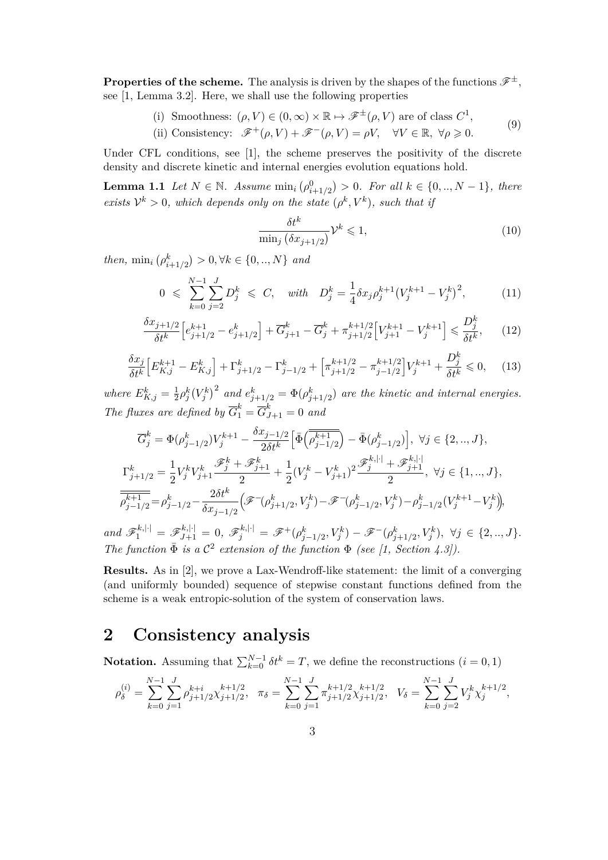**Properties of the scheme.** The analysis is driven by the shapes of the functions  $\mathscr{F}^{\pm}$ , see [1, Lemma 3.2]. Here, we shall use the following properties

> (i) Smoothness:  $(\rho, V) \in (0, \infty) \times \mathbb{R} \mapsto \mathscr{F}^{\pm}(\rho, V)$  are of class  $C^1$ ,  $(0)$

(ii) Consistency: 
$$
\mathscr{F}^+(\rho, V) + \mathscr{F}^-(\rho, V) = \rho V
$$
,  $\forall V \in \mathbb{R}, \forall \rho \ge 0$ . (9)

Under CFL conditions, see [1], the scheme preserves the positivity of the discrete density and discrete kinetic and internal energies evolution equations hold.

**Lemma 1.1** *Let*  $N \in \mathbb{N}$ *. Assume*  $\min_i (\rho_{i+1/2}^0) > 0$ *. For all*  $k \in \{0, ..., N - 1\}$ *, there exists*  $V^k > 0$ *, which depends only on the state*  $(\rho^k, V^k)$ *, such that if* 

$$
\frac{\delta t^k}{\min_j \left(\delta x_{j+1/2}\right)} \mathcal{V}^k \leqslant 1,\tag{10}
$$

*then,*  $\min_i (\rho_{i+1/2}^k) > 0, \forall k \in \{0, ..., N\}$  *and* 

$$
0 \leqslant \sum_{k=0}^{N-1} \sum_{j=2}^{J} D_j^k \leqslant C, \quad \text{with} \quad D_j^k = \frac{1}{4} \delta x_j \rho_j^{k+1} \left( V_j^{k+1} - V_j^k \right)^2, \tag{11}
$$

$$
\frac{\delta x_{j+1/2}}{\delta t^k} \left[ e_{j+1/2}^{k+1} - e_{j+1/2}^k \right] + \overline{G}_{j+1}^k - \overline{G}_j^k + \pi_{j+1/2}^{k+1/2} \left[ V_{j+1}^{k+1} - V_j^{k+1} \right] \leq \frac{D_j^k}{\delta t^k},\tag{12}
$$

$$
\frac{\delta x_j}{\delta t^k} \Big[ E_{K,j}^{k+1} - E_{K,j}^k \Big] + \Gamma_{j+1/2}^k - \Gamma_{j-1/2}^k + \Big[ \pi_{j+1/2}^{k+1/2} - \pi_{j-1/2}^{k+1/2} \Big] V_j^{k+1} + \frac{D_j^k}{\delta t^k} \leq 0, \quad (13)
$$

*where*  $E_{K,j}^k = \frac{1}{2}$  $\frac{1}{2} \rho_j^k (V_j^k)^2$  and  $e_{j+1/2}^k = \Phi(\rho_{j+1/2}^k)$  are the kinetic and internal energies. *The fluxes are defined by*  $\overline{G}_1^k = \overline{G}_{J+1}^k = 0$  *and* 

$$
\overline{G}_{j}^{k} = \Phi(\rho_{j-1/2}^{k})V_{j}^{k+1} - \frac{\delta x_{j-1/2}}{2\delta t^{k}} \Big[ \overline{\Phi} \Big( \overline{\rho_{j-1/2}^{k+1}} \Big) - \overline{\Phi}(\rho_{j-1/2}^{k}) \Big], \ \forall j \in \{2, ..., J\},
$$
\n
$$
\Gamma_{j+1/2}^{k} = \frac{1}{2} V_{j}^{k} V_{j+1}^{k} \frac{\mathscr{F}_{j}^{k} + \mathscr{F}_{j+1}^{k}}{2} + \frac{1}{2} (V_{j}^{k} - V_{j+1}^{k})^{2} \frac{\mathscr{F}_{j}^{k,|\cdot|} + \mathscr{F}_{j+1}^{k,|\cdot|}}{2}, \ \forall j \in \{1, ..., J\},
$$
\n
$$
\overline{\overline{\rho_{j-1/2}^{k+1}}} = \rho_{j-1/2}^{k} - \frac{2\delta t^{k}}{\delta x_{j-1/2}} \Big( \mathscr{F}^{-}(\rho_{j+1/2}^{k}, V_{j}^{k}) - \mathscr{F}^{-}(\rho_{j-1/2}^{k}, V_{j}^{k}) - \rho_{j-1/2}^{k} (V_{j}^{k+1} - V_{j}^{k}) \Big),
$$

and  $\mathscr{F}_1^{k,|\cdot|} = \mathscr{F}_{J+1}^{k,|\cdot|} = 0$ ,  $\mathscr{F}_j^{k,|\cdot|} = \mathscr{F}^+(\rho_{j-1/2}^k, V_j^k) - \mathscr{F}^-(\rho_{j+1/2}^k, V_j^k)$ ,  $\forall j \in \{2, ..., J\}.$ *The function*  $\bar{\Phi}$  *is a*  $\mathcal{C}^2$  *extension of the function*  $\Phi$  *(see [1, Section 4.3]).* 

**Results.** As in [2], we prove a Lax-Wendroff-like statement: the limit of a converging (and uniformly bounded) sequence of stepwise constant functions defined from the scheme is a weak entropic-solution of the system of conservation laws.

#### **2 Consistency analysis**

**Notation.** Assuming that  $\sum_{k=0}^{N-1} \delta t^k = T$ , we define the reconstructions  $(i = 0, 1)$ 

$$
\rho_{\delta}^{(i)} = \sum_{k=0}^{N-1} \sum_{j=1}^{J} \rho_{j+1/2}^{k+j} \chi_{j+1/2}^{k+1/2}, \quad \pi_{\delta} = \sum_{k=0}^{N-1} \sum_{j=1}^{J} \pi_{j+1/2}^{k+j} \chi_{j+1/2}^{k+1/2}, \quad V_{\delta} = \sum_{k=0}^{N-1} \sum_{j=2}^{J} V_{j}^{k} \chi_{j}^{k+1/2},
$$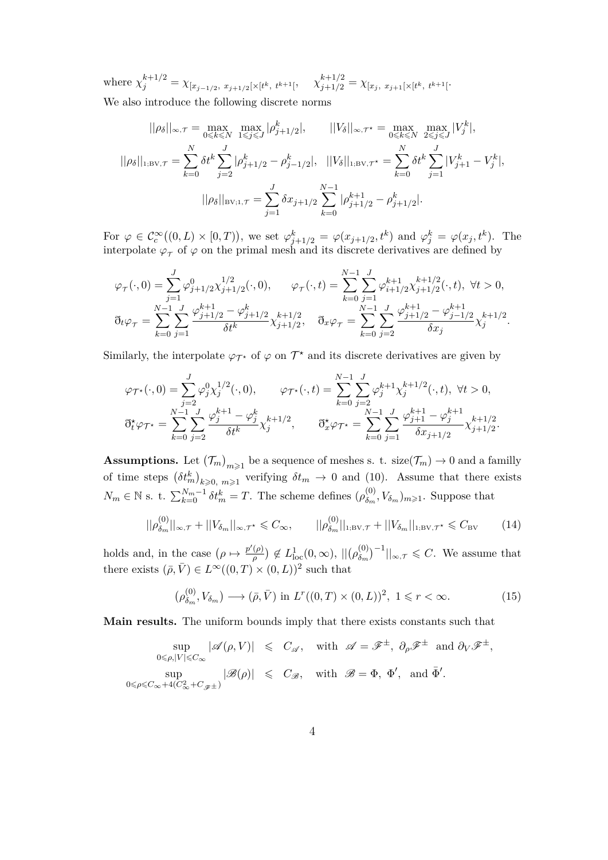where  $\chi_j^{k+1/2} = \chi_{[x_{j-1/2}, x_{j+1/2}[\times [t^k, t^{k+1}[}, x_{j+1/2}^{k+1/2} = \chi_{[x_j, x_{j+1}[\times [t^k, t^{k+1}[}.$ We also introduce the following discrete norms

$$
||\rho_{\delta}||_{\infty,\mathcal{T}} = \max_{0 \le k \le N} \max_{1 \le j \le J} |\rho_{j+1/2}^k|, \qquad ||V_{\delta}||_{\infty,\mathcal{T}^*} = \max_{0 \le k \le N} \max_{2 \le j \le J} |V_j^k|,
$$
  

$$
||\rho_{\delta}||_{1;\text{BV},\mathcal{T}} = \sum_{k=0}^N \delta t^k \sum_{j=2}^J |\rho_{j+1/2}^k - \rho_{j-1/2}^k|, \qquad ||V_{\delta}||_{1;\text{BV},\mathcal{T}^*} = \sum_{k=0}^N \delta t^k \sum_{j=1}^J |V_{j+1}^k - V_j^k|,
$$
  

$$
||\rho_{\delta}||_{\text{BV},1,\mathcal{T}} = \sum_{j=1}^J \delta x_{j+1/2} \sum_{k=0}^{N-1} |\rho_{j+1/2}^{k+1} - \rho_{j+1/2}^k|.
$$

For  $\varphi \in C_c^{\infty}((0,L)\times [0,T))$ , we set  $\varphi_{j+1/2}^k = \varphi(x_{j+1/2}, t^k)$  and  $\varphi_j^k = \varphi(x_j, t^k)$ . The interpolate  $\varphi_{\tau}$  of  $\varphi$  on the primal mesh and its discrete derivatives are defined by

$$
\varphi_{\tau}(\cdot,0) = \sum_{j=1}^{J} \varphi_{j+1/2}^{0} \chi_{j+1/2}^{1/2}(\cdot,0), \qquad \varphi_{\tau}(\cdot,t) = \sum_{k=0}^{N-1} \sum_{j=1}^{J} \varphi_{i+1/2}^{k+1} \chi_{j+1/2}^{k+1/2}(\cdot,t), \ \forall t > 0,
$$
  

$$
\eth_t \varphi_{\tau} = \sum_{k=0}^{N-1} \sum_{j=1}^{J} \frac{\varphi_{j+1/2}^{k+1} - \varphi_{j+1/2}^{k}}{\delta t^{k}} \chi_{j+1/2}^{k+1/2}, \quad \eth_x \varphi_{\tau} = \sum_{k=0}^{N-1} \sum_{j=2}^{J} \frac{\varphi_{j+1/2}^{k+1} - \varphi_{j-1/2}^{k+1}}{\delta x_{j}} \chi_{j}^{k+1/2}.
$$

Similarly, the interpolate  $\varphi_{\mathcal{T}^*}$  of  $\varphi$  on  $\mathcal{T}^*$  and its discrete derivatives are given by

$$
\varphi_{\mathcal{T}^{\star}}(\cdot,0) = \sum_{j=2}^{J} \varphi_{j}^{0} \chi_{j}^{1/2}(\cdot,0), \qquad \varphi_{\mathcal{T}^{\star}}(\cdot,t) = \sum_{k=0}^{N-1} \sum_{j=2}^{J} \varphi_{j}^{k+1} \chi_{j}^{k+1/2}(\cdot,t), \ \forall t > 0,
$$

$$
\eth_{t}^{\star} \varphi_{\mathcal{T}^{\star}} = \sum_{k=0}^{N-1} \sum_{j=2}^{J} \frac{\varphi_{j}^{k+1} - \varphi_{j}^{k}}{\delta t^{k}} \chi_{j}^{k+1/2}, \qquad \eth_{x}^{\star} \varphi_{\mathcal{T}^{\star}} = \sum_{k=0}^{N-1} \sum_{j=1}^{J} \frac{\varphi_{j+1}^{k+1} - \varphi_{j}^{k+1}}{\delta x_{j+1/2}} \chi_{j+1/2}^{k+1/2}.
$$

**Assumptions.** Let  $(\mathcal{T}_m)_{m\geq 1}$  be a sequence of meshes s. t. size( $\mathcal{T}_m$ )  $\to 0$  and a familly of time steps  $(\delta t_m^k)_{k \geqslant 0, m \geqslant 1}$  verifying  $\delta t_m \to 0$  and (10). Assume that there exists *N*<sup>*m*</sup> ∈ <sup>N</sup> s. t.  $\sum_{k=0}^{N_m-1} \delta t_m^k = T$ . The scheme defines  $(\rho_{\delta_m}^{(0)})$  $\mathcal{L}_{\delta_m}^{(0)}, V_{\delta_m}$ <sub>*m* $\geq$ 1</sub>. Suppose that

$$
||\rho_{\delta_m}^{(0)}||_{\infty,\mathcal{T}} + ||V_{\delta_m}||_{\infty,\mathcal{T}^*} \leq C_{\infty}, \qquad ||\rho_{\delta_m}^{(0)}||_{1;\text{BV},\mathcal{T}} + ||V_{\delta_m}||_{1;\text{BV},\mathcal{T}^*} \leq C_{\text{BV}} \tag{14}
$$

holds and, in the case  $(\rho \mapsto \frac{p'(\rho)}{q})$  $\left(\frac{\rho}{\rho}\right) \notin L^1_{\text{loc}}(0,\infty), \, ||(\rho_{\delta_m}^{(0)})||$  $\binom{(0)}{\delta_m}^{-1}$ ||<sub>∞*,* $\tau \leq C$ . We assume that</sub> there exists  $(\bar{\rho}, \bar{V}) \in L^{\infty}((0, T) \times (0, L))^2$  such that

$$
(\rho_{\delta_m}^{(0)}, V_{\delta_m}) \longrightarrow (\bar{\rho}, \bar{V}) \text{ in } L^r((0, T) \times (0, L))^2, 1 \leq r < \infty.
$$
 (15)

**Main results.** The uniform bounds imply that there exists constants such that

$$
\sup_{0 \leq \rho, |V| \leq C_{\infty}} |\mathscr{A}(\rho, V)| \leq C_{\mathscr{A}}, \quad \text{with } \mathscr{A} = \mathscr{F}^{\pm}, \partial_{\rho} \mathscr{F}^{\pm} \text{ and } \partial_{V} \mathscr{F}^{\pm},
$$
  
\n
$$
\sup_{0 \leq \rho \leq C_{\infty} + 4(C_{\infty}^{2} + C_{\mathscr{F}^{\pm}})} |\mathscr{B}(\rho)| \leq C_{\mathscr{B}}, \quad \text{with } \mathscr{B} = \Phi, \Phi', \text{ and } \bar{\Phi}'.
$$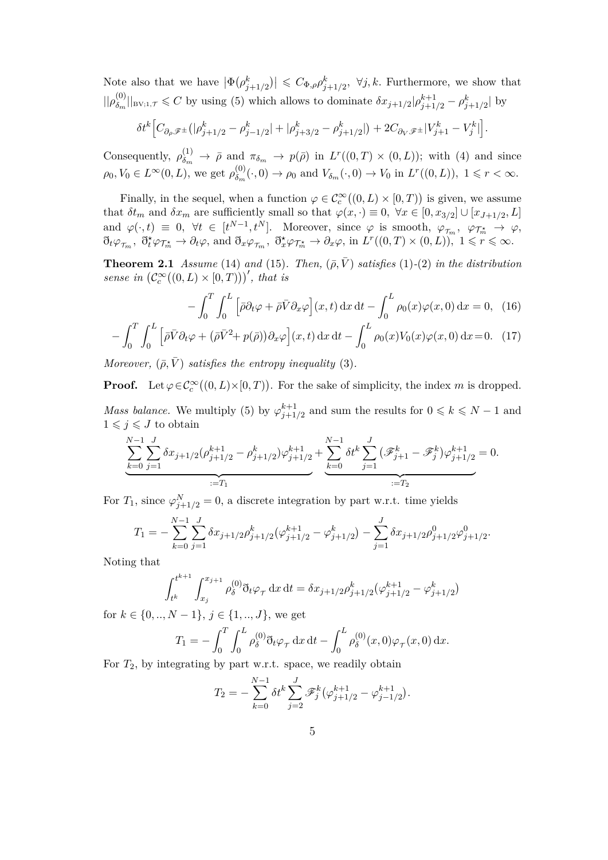Note also that we have  $|\Phi(\rho_{j+1/2}^k)| \leq C_{\Phi,\rho} \rho_{j+1/2}^k$ ,  $\forall j,k$ . Furthermore, we show that  $||\rho_{\delta_m}^{(0)}||$  $\delta_m^{(0)}$ ||<sub>BV;1,</sub> $\tau \leq C$  by using (5) which allows to dominate  $\delta x_{j+1/2}$ |*p*<sup>k+1</sup><sub>j+1</sub>/<sub>2</sub> − *p*<sup>k</sup><sub>j+1/2</sub> | by

$$
\delta t^k \Big[ C_{\partial_\rho \mathscr{F}^\pm} \big(|\rho_{j+1/2}^k - \rho_{j-1/2}^k| + |\rho_{j+3/2}^k - \rho_{j+1/2}^k| \big) + 2 C_{\partial_V \mathscr{F}^\pm} |V_{j+1}^k - V_j^k| \Big].
$$

Consequently,  $\rho_{\delta_m}^{(1)} \to \bar{\rho}$  and  $\pi_{\delta_m} \to p(\bar{\rho})$  in  $L^r((0,T) \times (0,L))$ ; with (4) and since  $\rho_0, V_0 \in L^{\infty}(0, L)$ , we get  $\rho_{\delta_m}^{(0)}$  $\delta_m^{(0)}(\cdot,0) \to \rho_0$  and  $V_{\delta_m}(\cdot,0) \to V_0$  in  $L^r((0,L))$ ,  $1 \leq r < \infty$ .

Finally, in the sequel, when a function  $\varphi \in C_c^{\infty}((0, L) \times [0, T))$  is given, we assume that  $\delta t_m$  and  $\delta x_m$  are sufficiently small so that  $\varphi(x, \cdot) \equiv 0, \ \forall x \in [0, x_{3/2}] \cup [x_{J+1/2}, L]$ and  $\varphi(\cdot, t) \equiv 0$ ,  $\forall t \in [t^{N-1}, t^N]$ . Moreover, since  $\varphi$  is smooth,  $\varphi_{\tau_m}, \varphi_{\tau_m^*} \to \varphi$ ,  $\partial_t \varphi_{\tau_m}, \ \partial_t^{\star} \varphi_{\mathcal{T}_m^{\star}} \to \partial_t \varphi, \text{ and } \partial_x \varphi_{\mathcal{T}_m}, \ \partial_x^{\star} \varphi_{\mathcal{T}_m^{\star}} \to \partial_x \varphi, \text{ in } L^r((0,T) \times (0,L)), \ 1 \leqslant r \leqslant \infty.$ 

**Theorem 2.1** *Assume* (14) *and* (15)*. Then,*  $(\bar{\rho}, \bar{V})$  *satisfies* (1)-(2) *in the distribution sense in*  $(C_c^{\infty}((0, L) \times [0, T)))'$ , that is

$$
-\int_0^T \int_0^L \left[\bar{\rho}\partial_t\varphi + \bar{\rho}\bar{V}\partial_x\varphi\right](x,t) \, \mathrm{d}x \, \mathrm{d}t - \int_0^L \rho_0(x)\varphi(x,0) \, \mathrm{d}x = 0,\tag{16}
$$

$$
-\int_0^T \int_0^L \left[ \bar{\rho} \bar{V} \partial_t \varphi + (\bar{\rho} \bar{V}^2 + p(\bar{\rho})) \partial_x \varphi \right] (x, t) \, \mathrm{d}x \, \mathrm{d}t - \int_0^L \rho_0(x) V_0(x) \varphi(x, 0) \, \mathrm{d}x = 0. \tag{17}
$$

*Moreover,*  $(\bar{\rho}, V)$  *satisfies the entropy inequality* (3).

**Proof.** Let  $\varphi \in C_c^{\infty}((0, L) \times [0, T))$ . For the sake of simplicity, the index *m* is dropped.

*Mass balance.* We multiply (5) by  $\varphi_{i+1}^{k+1}$  $j+1/2$  and sum the results for  $0 \leq k \leq N-1$  and  $1 \leqslant j \leqslant J$  to obtain

$$
\underbrace{\sum_{k=0}^{N-1} \sum_{j=1}^{J} \delta x_{j+1/2} (\rho_{j+1/2}^{k+1} - \rho_{j+1/2}^k) \varphi_{j+1/2}^{k+1} + \sum_{k=0}^{N-1} \delta t^k \sum_{j=1}^{J} (\mathscr{F}_{j+1}^k - \mathscr{F}_{j}^k) \varphi_{j+1/2}^{k+1}}_{:=T_1} = 0.
$$

For  $T_1$ , since  $\varphi_{j+1/2}^N = 0$ , a discrete integration by part w.r.t. time yields

$$
T_1 = -\sum_{k=0}^{N-1} \sum_{j=1}^{J} \delta x_{j+1/2} \rho_{j+1/2}^k (\varphi_{j+1/2}^{k+1} - \varphi_{j+1/2}^k) - \sum_{j=1}^{J} \delta x_{j+1/2} \rho_{j+1/2}^0 \varphi_{j+1/2}^0.
$$

Noting that

$$
\int_{t^k}^{t^{k+1}} \int_{x_j}^{x_{j+1}} \rho_\delta^{(0)} \eth_t \varphi_\tau \, dx \, dt = \delta x_{j+1/2} \rho_{j+1/2}^k (\varphi_{j+1/2}^{k+1} - \varphi_{j+1/2}^k)
$$

for  $k \in \{0, ..., N-1\}, j \in \{1, ..., J\},$  we get

$$
T_1 = -\int_0^T \int_0^L \rho_\delta^{(0)} \eth_t \varphi_\tau \, dx \, dt - \int_0^L \rho_\delta^{(0)}(x,0) \varphi_\tau(x,0) \, dx.
$$

For *T*2, by integrating by part w.r.t. space, we readily obtain

$$
T_2 = -\sum_{k=0}^{N-1} \delta t^k \sum_{j=2}^J \mathscr{F}_j^k (\varphi_{j+1/2}^{k+1} - \varphi_{j-1/2}^{k+1}).
$$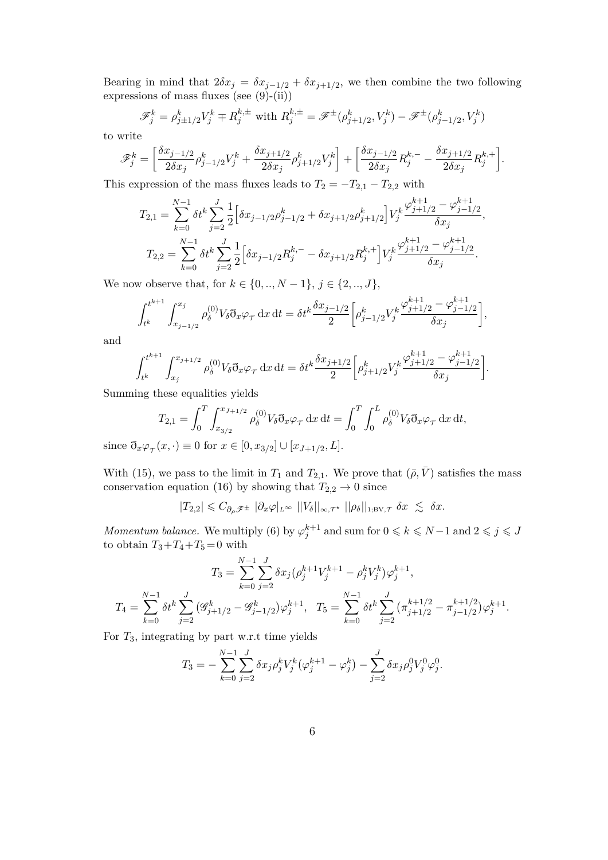Bearing in mind that  $2\delta x_j = \delta x_{j-1/2} + \delta x_{j+1/2}$ , we then combine the two following expressions of mass fluxes (see  $(9)-(ii)$ )

$$
\mathcal{F}_j^k = \rho_{j\pm 1/2}^k V_j^k \mp R_j^{k,\pm} \text{ with } R_j^{k,\pm} = \mathcal{F}^{\pm}(\rho_{j+1/2}^k, V_j^k) - \mathcal{F}^{\pm}(\rho_{j-1/2}^k, V_j^k)
$$

to write

$$
\mathscr{F}^k_j = \bigg[\frac{\delta x_{j-1/2}}{2\delta x_j}\rho^k_{j-1/2}V^k_j + \frac{\delta x_{j+1/2}}{2\delta x_j}\rho^k_{j+1/2}V^k_j\bigg] + \bigg[\frac{\delta x_{j-1/2}}{2\delta x_j}R^{k,-}_j - \frac{\delta x_{j+1/2}}{2\delta x_j}R^{k,+}_j\bigg].
$$

This expression of the mass fluxes leads to  $T_2 = -T_{2,1} - T_{2,2}$  with

$$
T_{2,1} = \sum_{k=0}^{N-1} \delta t^k \sum_{j=2}^J \frac{1}{2} \Big[ \delta x_{j-1/2} \rho_{j-1/2}^k + \delta x_{j+1/2} \rho_{j+1/2}^k \Big] V_j^k \frac{\varphi_{j+1/2}^{k+1} - \varphi_{j-1/2}^{k+1}}{\delta x_j},
$$
  

$$
T_{2,2} = \sum_{k=0}^{N-1} \delta t^k \sum_{j=2}^J \frac{1}{2} \Big[ \delta x_{j-1/2} R_j^{k,-} - \delta x_{j+1/2} R_j^{k,+} \Big] V_j^k \frac{\varphi_{j+1/2}^{k+1} - \varphi_{j-1/2}^{k+1}}{\delta x_j}.
$$

We now observe that, for  $k \in \{0, ..., N-1\}, j \in \{2, ..., J\},$ 

$$
\int_{t^k}^{t^{k+1}} \int_{x_{j-1/2}}^{x_j} \rho_\delta^{(0)} V_\delta \mathfrak{d}_x \varphi_\tau \, \mathrm{d}x \, \mathrm{d}t = \delta t^k \frac{\delta x_{j-1/2}}{2} \bigg[ \rho_{j-1/2}^k V_j^k \frac{\varphi_{j+1/2}^{k+1} - \varphi_{j-1/2}^{k+1}}{\delta x_j} \bigg],
$$

and

$$
\int_{t^k}^{t^{k+1}} \int_{x_j}^{x_{j+1/2}} \rho_\delta^{(0)} V_\delta \eth_x \varphi_\tau \, dx \, dt = \delta t^k \frac{\delta x_{j+1/2}}{2} \left[ \rho_{j+1/2}^k V_j^k \frac{\varphi_{j+1/2}^{k+1} - \varphi_{j-1/2}^{k+1}}{\delta x_j} \right].
$$

Summing these equalities yields

$$
T_{2,1} = \int_0^T \int_{x_{3/2}}^{x_{J+1/2}} \rho_\delta^{(0)} V_\delta \mathfrak{d}_x \varphi_\tau \, \mathrm{d}x \, \mathrm{d}t = \int_0^T \int_0^L \rho_\delta^{(0)} V_\delta \mathfrak{d}_x \varphi_\tau \, \mathrm{d}x \, \mathrm{d}t,
$$

since  $\eth_x \varphi_{\tau}(x, \cdot) \equiv 0$  for  $x \in [0, x_{3/2}] \cup [x_{J+1/2}, L]$ .

With (15), we pass to the limit in  $T_1$  and  $T_{2,1}$ . We prove that  $(\bar{\rho}, \bar{V})$  satisfies the mass conservation equation (16) by showing that  $T_{2,2} \rightarrow 0$  since

$$
|T_{2,2}| \leqslant C_{\partial_\rho\mathscr{F}^\pm}\ |\partial_x\varphi|_{L^\infty}\ ||V_\delta||_{\infty,\mathcal{T}^\star}\ ||\rho_\delta||_{\text{1;BV},\mathcal{T}}\ \delta x\ \lesssim\ \delta x.
$$

*Momentum balance.* We multiply (6) by  $\varphi_j^{k+1}$  and sum for  $0 \leq k \leq N-1$  and  $2 \leq j \leq J$ to obtain  $T_3 + T_4 + T_5 = 0$  with

$$
T_3 = \sum_{k=0}^{N-1} \sum_{j=2}^{J} \delta x_j (\rho_j^{k+1} V_j^{k+1} - \rho_j^k V_j^k) \varphi_j^{k+1},
$$
  

$$
T_4 = \sum_{k=0}^{N-1} \delta t^k \sum_{j=2}^{J} (\mathcal{G}_{j+1/2}^k - \mathcal{G}_{j-1/2}^k) \varphi_j^{k+1}, \quad T_5 = \sum_{k=0}^{N-1} \delta t^k \sum_{j=2}^{J} (\pi_{j+1/2}^{k+1/2} - \pi_{j-1/2}^{k+1/2}) \varphi_j^{k+1}.
$$

For *T*3, integrating by part w.r.t time yields

$$
T_3 = -\sum_{k=0}^{N-1} \sum_{j=2}^{J} \delta x_j \rho_j^k V_j^k (\varphi_j^{k+1} - \varphi_j^k) - \sum_{j=2}^{J} \delta x_j \rho_j^0 V_j^0 \varphi_j^0.
$$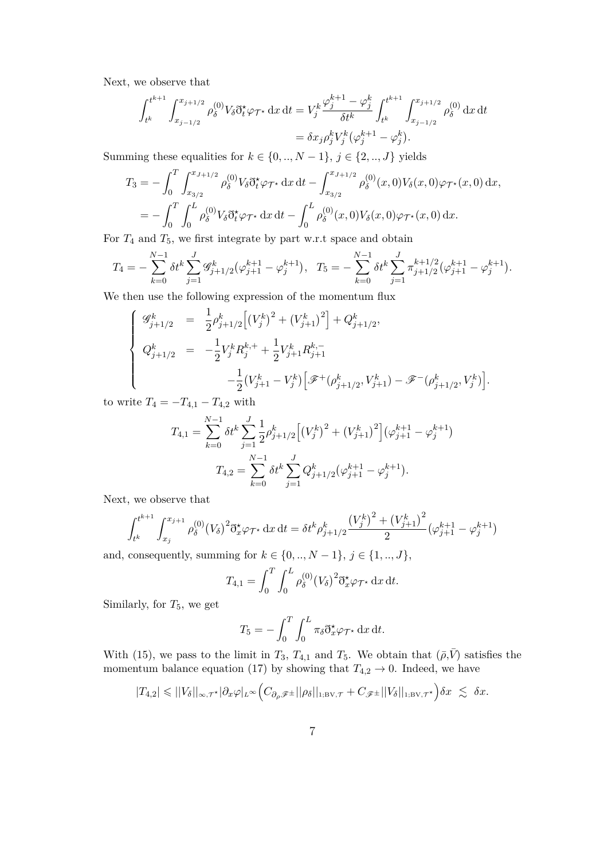Next, we observe that

$$
\int_{t^k}^{t^{k+1}} \int_{x_{j-1/2}}^{x_{j+1/2}} \rho_\delta^{(0)} V_\delta \eth_t^* \varphi_{\mathcal{T}^*} \, dx \, dt = V_j^k \frac{\varphi_j^{k+1} - \varphi_j^k}{\delta t^k} \int_{t^k}^{t^{k+1}} \int_{x_{j-1/2}}^{x_{j+1/2}} \rho_\delta^{(0)} \, dx \, dt
$$
  
=  $\delta x_j \rho_j^k V_j^k (\varphi_j^{k+1} - \varphi_j^k).$ 

Summing these equalities for  $k \in \{0, ..., N-1\}$ ,  $j \in \{2, ..., J\}$  yields

$$
T_3 = -\int_0^T \int_{x_{3/2}}^{x_{J+1/2}} \rho_\delta^{(0)} V_\delta \eth^{\star}_t \varphi_{\mathcal{T}^{\star}} \, dx \, dt - \int_{x_{3/2}}^{x_{J+1/2}} \rho_\delta^{(0)}(x,0) V_\delta(x,0) \varphi_{\mathcal{T}^{\star}}(x,0) \, dx,
$$
  
= 
$$
- \int_0^T \int_0^L \rho_\delta^{(0)} V_\delta \eth^{\star}_t \varphi_{\mathcal{T}^{\star}} \, dx \, dt - \int_0^L \rho_\delta^{(0)}(x,0) V_\delta(x,0) \varphi_{\mathcal{T}^{\star}}(x,0) \, dx.
$$

For *T*<sup>4</sup> and *T*5, we first integrate by part w.r.t space and obtain

$$
T_4 = -\sum_{k=0}^{N-1} \delta t^k \sum_{j=1}^J \mathscr{G}_{j+1/2}^k (\varphi_{j+1}^{k+1} - \varphi_j^{k+1}), \quad T_5 = -\sum_{k=0}^{N-1} \delta t^k \sum_{j=1}^J \pi_{j+1/2}^{k+1/2} (\varphi_{j+1}^{k+1} - \varphi_j^{k+1}).
$$

We then use the following expression of the momentum flux

$$
\begin{cases}\n\mathcal{G}_{j+1/2}^{k} = \frac{1}{2} \rho_{j+1/2}^{k} \left[ \left( V_{j}^{k} \right)^{2} + \left( V_{j+1}^{k} \right)^{2} \right] + Q_{j+1/2}^{k}, \\
Q_{j+1/2}^{k} = -\frac{1}{2} V_{j}^{k} R_{j}^{k,+} + \frac{1}{2} V_{j+1}^{k} R_{j+1}^{k,-} \\
-\frac{1}{2} \left( V_{j+1}^{k} - V_{j}^{k} \right) \left[ \mathcal{F}^{+}(\rho_{j+1/2}^{k}, V_{j+1}^{k}) - \mathcal{F}^{-}(\rho_{j+1/2}^{k}, V_{j}^{k}) \right].\n\end{cases}
$$

to write  $T_4 = -T_{4,1} - T_{4,2}$  with

$$
T_{4,1} = \sum_{k=0}^{N-1} \delta t^k \sum_{j=1}^J \frac{1}{2} \rho_{j+1/2}^k \Big[ \big(V_j^k\big)^2 + \big(V_{j+1}^k\big)^2 \Big] \big(\varphi_{j+1}^{k+1} - \varphi_j^{k+1}\big)
$$
  

$$
T_{4,2} = \sum_{k=0}^{N-1} \delta t^k \sum_{j=1}^J Q_{j+1/2}^k \big(\varphi_{j+1}^{k+1} - \varphi_j^{k+1}\big).
$$

Next, we observe that

$$
\int_{t^k}^{t^{k+1}} \int_{x_j}^{x_{j+1}} \rho_\delta^{(0)} (V_\delta)^2 \eth^{\star}_{x} \varphi_{\mathcal{T}^{\star}} \, dx \, dt = \delta t^k \rho_{j+1/2}^k \frac{\left(V_j^k\right)^2 + \left(V_{j+1}^k\right)^2}{2} \left(\varphi_{j+1}^{k+1} - \varphi_j^{k+1}\right)
$$

and, consequently, summing for  $k\in\{0,..,N-1\},\,j\in\{1,..,J\},$ 

$$
T_{4,1} = \int_0^T \int_0^L \rho_\delta^{(0)} (V_\delta)^2 \eth_x^{\star} \varphi_{\mathcal{T}^{\star}} \, dx \, dt.
$$

Similarly, for *T*5, we get

$$
T_5 = -\int_0^T \int_0^L \pi_\delta \eth_x^* \varphi_{\mathcal{T}^*} \, \mathrm{d}x \, \mathrm{d}t.
$$

With (15), we pass to the limit in  $T_3$ ,  $T_{4,1}$  and  $T_5$ . We obtain that  $(\bar{\rho}, \bar{V})$  satisfies the momentum balance equation (17) by showing that  $T_{4,2} \rightarrow 0$ . Indeed, we have

$$
|T_{4,2}| \leq ||V_{\delta}||_{\infty,\tau^{\star}}|\partial_x \varphi|_{L^{\infty}} \Big(C_{\partial_{\rho} \mathscr{F}^{\pm}}||\rho_{\delta}||_{1; \text{BV},\tau} + C_{\mathscr{F}^{\pm}}||V_{\delta}||_{1; \text{BV},\tau^{\star}}\Big) \delta x \leq \delta x.
$$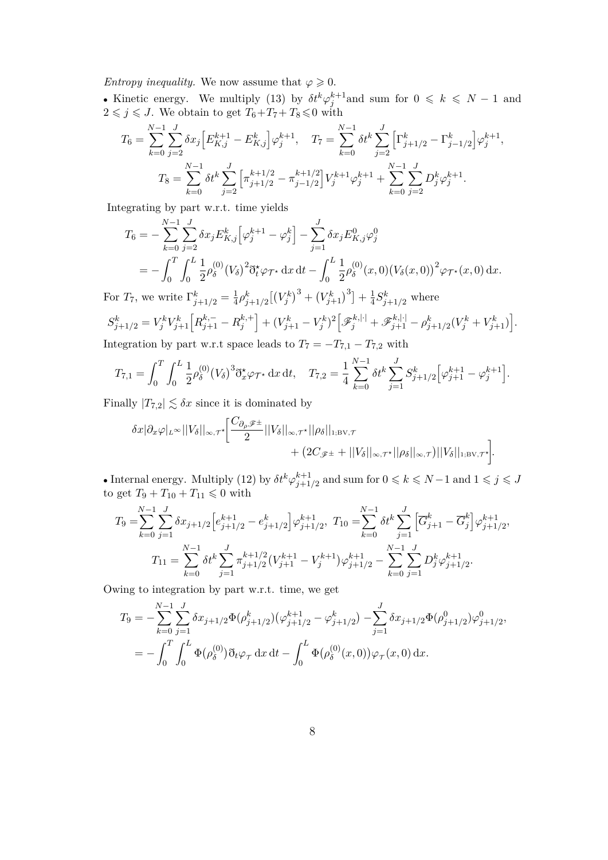*Entropy inequality.* We now assume that  $\varphi \geq 0$ .

• Kinetic energy. We multiply (13) by  $\delta t^k \varphi_j^{k+1}$  and sum for  $0 \leq k \leq N-1$  and  $2 \leq j \leq J$ . We obtain to get  $T_6 + T_7 + T_8 \leq 0$  with

$$
T_6 = \sum_{k=0}^{N-1} \sum_{j=2}^{J} \delta x_j \Big[ E_{K,j}^{k+1} - E_{K,j}^k \Big] \varphi_j^{k+1}, \quad T_7 = \sum_{k=0}^{N-1} \delta t^k \sum_{j=2}^{J} \Big[ \Gamma_{j+1/2}^k - \Gamma_{j-1/2}^k \Big] \varphi_j^{k+1},
$$

$$
T_8 = \sum_{k=0}^{N-1} \delta t^k \sum_{j=2}^{J} \Big[ \pi_{j+1/2}^{k+1/2} - \pi_{j-1/2}^{k+1/2} \Big] V_j^{k+1} \varphi_j^{k+1} + \sum_{k=0}^{N-1} \sum_{j=2}^{J} D_j^k \varphi_j^{k+1}.
$$

Integrating by part w.r.t. time yields

$$
T_6 = -\sum_{k=0}^{N-1} \sum_{j=2}^{J} \delta x_j E_{K,j}^k \Big[ \varphi_j^{k+1} - \varphi_j^k \Big] - \sum_{j=1}^{J} \delta x_j E_{K,j}^0 \varphi_j^0
$$
  
= 
$$
- \int_0^T \int_0^L \frac{1}{2} \rho_\delta^{(0)} (V_\delta)^2 \eth^*_{\xi} \varphi_{\mathcal{T}^*} \, dx \, dt - \int_0^L \frac{1}{2} \rho_\delta^{(0)} (x,0) (V_\delta(x,0))^2 \varphi_{\mathcal{T}^*}(x,0) \, dx.
$$

For  $T_7$ , we write  $\Gamma_{j+1/2}^k = \frac{1}{4}$  $\frac{1}{4}\rho_{j+1/2}^k[(V_j^k)^3 + (V_{j+1}^k)^3] + \frac{1}{4}$  $\frac{1}{4}S_{j+1/2}^k$  where  $S_{j+1/2}^k = V_j^k V_{j+1}^k \left[ R_{j+1}^{k,-} - R_j^{k,+} \right]$  $\begin{bmatrix} k, + \ j \end{bmatrix} + (V_{j+1}^k - V_j^k)^2 \Big[ \mathscr{F}_j^{k,| \cdot |} + \mathscr{F}_{j+1}^{k,| \cdot |} - \rho_{j+1/2}^k (V_j^k + V_{j+1}^k) \Big].$ 

Integration by part w.r.t space leads to  $T_7 = -T_{7,1} - T_{7,2}$  with

$$
T_{7,1} = \int_0^T \int_0^L \frac{1}{2} \rho_\delta^{(0)} (V_\delta)^3 \eth^{\star}_{x} \varphi_{\mathcal{T}^{\star}} \, dx \, dt, \quad T_{7,2} = \frac{1}{4} \sum_{k=0}^{N-1} \delta t^k \sum_{j=1}^J S^k_{j+1/2} \Big[ \varphi_{j+1}^{k+1} - \varphi_j^{k+1} \Big].
$$

Finally  $|T_{7,2}| \lesssim \delta x$  since it is dominated by

$$
\delta x |\partial_x \varphi|_{L^\infty} ||V_\delta||_{\infty,T^*} \Big[ \frac{C_{\partial_\rho} \mathscr{F}^\pm}{2} ||V_\delta||_{\infty,T^*} ||\rho_\delta||_{1;\mathrm{BV},\mathcal{T}} + (2C_{\mathscr{F}^\pm} + ||V_\delta||_{\infty,T^*} ||\rho_\delta||_{\infty,\mathcal{T}}) ||V_\delta||_{1;\mathrm{BV},\mathcal{T}^*} \Big].
$$

• Internal energy. Multiply (12) by  $\delta t^k \varphi_{i+1}^{k+1}$ *f*<sup>+1</sup>/<sub>2</sub> and sum for  $0 \le k \le N-1$  and  $1 \le j \le J$ to get  $T_9 + T_{10} + T_{11} \leq 0$  with

$$
T_9 = \sum_{k=0}^{N-1} \sum_{j=1}^{J} \delta x_{j+1/2} \Big[ e_{j+1/2}^{k+1} - e_{j+1/2}^k \Big] \varphi_{j+1/2}^{k+1}, \ T_{10} = \sum_{k=0}^{N-1} \delta t^k \sum_{j=1}^{J} \Big[ \overline{G}_{j+1}^k - \overline{G}_j^k \Big] \varphi_{j+1/2}^{k+1},
$$
  

$$
T_{11} = \sum_{k=0}^{N-1} \delta t^k \sum_{j=1}^{J} \pi_{j+1/2}^{k+1/2} (V_{j+1}^{k+1} - V_j^{k+1}) \varphi_{j+1/2}^{k+1} - \sum_{k=0}^{N-1} \sum_{j=1}^{J} D_j^k \varphi_{j+1/2}^{k+1}.
$$

Owing to integration by part w.r.t. time, we get

$$
T_9 = -\sum_{k=0}^{N-1} \sum_{j=1}^{J} \delta x_{j+1/2} \Phi(\rho_{j+1/2}^k) (\varphi_{j+1/2}^{k+1} - \varphi_{j+1/2}^k) - \sum_{j=1}^{J} \delta x_{j+1/2} \Phi(\rho_{j+1/2}^0) \varphi_{j+1/2}^0,
$$
  
= 
$$
-\int_0^T \int_0^L \Phi(\rho_\delta^{(0)}) \eth_t \varphi_\tau \, dx \, dt - \int_0^L \Phi(\rho_\delta^{(0)}(x,0)) \varphi_\tau(x,0) \, dx.
$$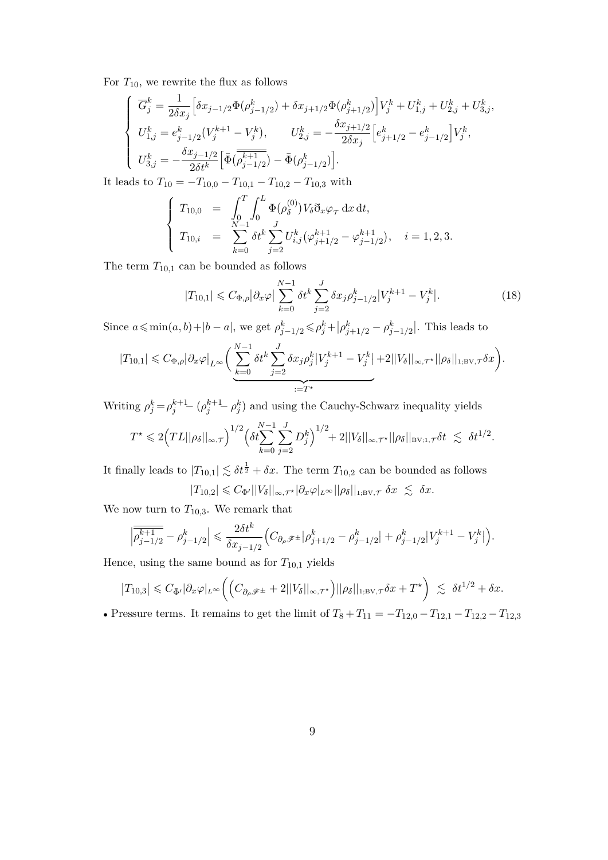For  $T_{10}$ , we rewrite the flux as follows

$$
\left\{ \begin{array}{l} \overline{G}^k_j = \frac{1}{2\delta x_j} \Big[ \delta x_{j-1/2} \Phi(\rho^k_{j-1/2}) + \delta x_{j+1/2} \Phi(\rho^k_{j+1/2}) \Big] V^k_j + U^k_{1,j} + U^k_{2,j} + U^k_{3,j}, \\ U^k_{1,j} = e^k_{j-1/2} (V^{k+1}_j - V^k_j), \qquad U^k_{2,j} = -\frac{\delta x_{j+1/2}}{2\delta x_j} \Big[ e^k_{j+1/2} - e^k_{j-1/2} \Big] V^k_j, \\ U^k_{3,j} = -\frac{\delta x_{j-1/2}}{2\delta t^k} \Big[ \bar{\Phi} \big( \overline{\rho^{k+1}_{j-1/2}} \big) - \bar{\Phi}(\rho^k_{j-1/2}) \Big]. \end{array} \right. \label{eq:Gk}
$$

It leads to  $T_{10} = -T_{10,0} - T_{10,1} - T_{10,2} - T_{10,3}$  with

$$
\begin{cases}\nT_{10,0} = \int_0^T \int_0^L \Phi(\rho_\delta^{(0)}) V_\delta \eth_x \varphi_\tau \, dx \, dt, \\
T_{10,i} = \sum_{k=0}^{N-1} \delta t^k \sum_{j=2}^J U_{i,j}^k (\varphi_{j+1/2}^{k+1} - \varphi_{j-1/2}^{k+1}), \quad i = 1, 2, 3.\n\end{cases}
$$

The term  $T_{10,1}$  can be bounded as follows

$$
|T_{10,1}| \leqslant C_{\Phi,\rho} |\partial_x \varphi| \sum_{k=0}^{N-1} \delta t^k \sum_{j=2}^J \delta x_j \rho_{j-1/2}^k |V_j^{k+1} - V_j^k|.
$$
 (18)

Since  $a \leq \min(a, b) + |b - a|$ , we get  $\rho_{j-1/2}^k \leq \rho_j^k + |\rho_{j+1/2}^k - \rho_{j-1/2}^k|$ . This leads to

$$
|T_{10,1}| \leq C_{\Phi,\rho} |\partial_x \varphi|_{L^{\infty}} \bigg( \sum_{k=0}^{N-1} \delta t^k \sum_{j=2}^J \delta x_j \rho_j^k |V_j^{k+1} - V_j^k| + 2||V_\delta||_{\infty,\tau^*} ||\rho_\delta||_{1,\mathrm{BV},\tau} \delta x \bigg).
$$

Writing  $\rho_j^k = \rho_j^{k+1} - (\rho_j^{k+1} - \rho_j^k)$  and using the Cauchy-Schwarz inequality yields

$$
T^{\star} \leqslant 2\Big( TL||\rho_{\delta}||_{\infty,\tau}\Big)^{1/2} \Big(\delta t \sum_{k=0}^{N-1}\sum_{j=2}^{J} D_{j}^{k}\Big)^{1/2} + 2||V_{\delta}||_{\infty,\tau^{\star}}||\rho_{\delta}||_{\text{BV};1,\tau} \delta t \ \lesssim \ \delta t^{1/2}.
$$

It finally leads to  $|T_{10,1}| \lesssim \delta t^{\frac{1}{2}} + \delta x$ . The term  $T_{10,2}$  can be bounded as follows  $|T_{10,2}| \leq C_{\Phi'}||V_{\delta}||_{\infty,\tau^{\star}}|\partial_x\varphi|_{L^{\infty}}||\rho_{\delta}||_{1;\text{BV},\tau} \ \delta x \ \lesssim \ \delta x.$ 

We now turn to  $T_{10,3}$ . We remark that

$$
\left|\overline{\rho_{j-1/2}^{k+1}} - \rho_{j-1/2}^k\right| \leq \frac{2\delta t^k}{\delta x_{j-1/2}} \Big(C_{\partial_\rho \mathscr{F}^\pm} \left|\rho_{j+1/2}^k - \rho_{j-1/2}^k\right| + \rho_{j-1/2}^k |V_j^{k+1} - V_j^k|\Big).
$$

Hence, using the same bound as for  $T_{10,1}$  yields

$$
|T_{10,3}| \leqslant C_{\bar{\Phi}'}|\partial_x\varphi|_{L^{\infty}}\left(\left(C_{\partial_{\rho}\mathscr{F}^{\pm}}+2||V_{\delta}||_{\infty,\tau^{\star}}\right)||\rho_{\delta}||_{1;\mathrm{BV},\tau}\delta x+T^{\star}\right) \;\lesssim\; \delta t^{1/2}+\delta x.
$$

• Pressure terms. It remains to get the limit of  $T_8 + T_{11} = -T_{12,0} - T_{12,1} - T_{12,2} - T_{12,3}$